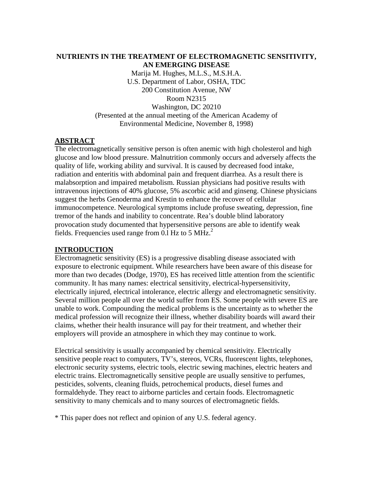# **NUTRIENTS IN THE TREATMENT OF ELECTROMAGNETIC SENSITIVITY, AN EMERGING DISEASE**

Marija M. Hughes, M.L.S., M.S.H.A. U.S. Department of Labor, OSHA, TDC 200 Constitution Avenue, NW Room N2315 Washington, DC 20210 (Presented at the annual meeting of the American Academy of Environmental Medicine, November 8, 1998)

## **ABSTRACT**

The electromagnetically sensitive person is often anemic with high cholesterol and high glucose and low blood pressure. Malnutrition commonly occurs and adversely affects the quality of life, working ability and survival. It is caused by decreased food intake, radiation and enteritis with abdominal pain and frequent diarrhea. As a result there is malabsorption and impaired metabolism. Russian physicians had positive results with intravenous injections of 40% glucose, 5% ascorbic acid and ginseng. Chinese physicians suggest the herbs Genoderma and Krestin to enhance the recover of cellular immunocompetence. Neurological symptoms include profuse sweating, depression, fine tremor of the hands and inability to concentrate. Rea's double blind laboratory provocation study documented that hypersensitive persons are able to identify weak fields. Frequencies used range from 0.1 Hz to 5 MHz.<sup>2</sup>

### **INTRODUCTION**

Electromagnetic sensitivity (ES) is a progressive disabling disease associated with exposure to electronic equipment. While researchers have been aware of this disease for more than two decades (Dodge, 1970), ES has received little attention from the scientific community. It has many names: electrical sensitivity, electrical-hypersensitivity, electrically injured, electrical intolerance, electric allergy and electromagnetic sensitivity. Several million people all over the world suffer from ES. Some people with severe ES are unable to work. Compounding the medical problems is the uncertainty as to whether the medical profession will recognize their illness, whether disability boards will award their claims, whether their health insurance will pay for their treatment, and whether their employers will provide an atmosphere in which they may continue to work.

Electrical sensitivity is usually accompanied by chemical sensitivity. Electrically sensitive people react to computers, TV's, stereos, VCRs, fluorescent lights, telephones, electronic security systems, electric tools, electric sewing machines, electric heaters and electric trains. Electromagnetically sensitive people are usually sensitive to perfumes, pesticides, solvents, cleaning fluids, petrochemical products, diesel fumes and formaldehyde. They react to airborne particles and certain foods. Electromagnetic sensitivity to many chemicals and to many sources of electromagnetic fields.

\* This paper does not reflect and opinion of any U.S. federal agency.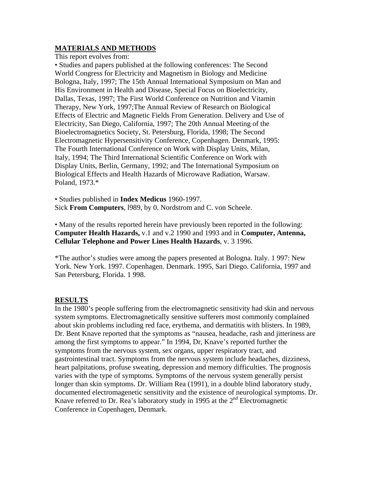## **MATERIALS AND METHODS**

This report evolves from:

• Studies and papers published at the following conferences: The Second World Congress for Electricity and Magnetism in Biology and Medicine Bologna, Italy, 1997; The 15th Annual International Symposium on Man and His Environment in Health and Disease, Special Focus on Bioelectricity, Dallas, Texas, 1997; The First World Conference on Nutrition and Vitamin Therapy, New York, 1997;The Annual Review of Research on Biological Effects of Electric and Magnetic Fields From Generation. Delivery and Use of Electricity, San Diego, California, 1997; The 20th Annual Meeting of the Bioelectromagnetics Society, St. Petersburg, Florida, 1998; The Second Electromagnetic Hypersensitivity Conference, Copenhagen. Denmark, 1995: The Fourth International Conference on Work with Display Units, Milan, Italy, 1994; The Third International Scientific Conference on Work with Display Units, Berlin, Germany, 1992; and The International Symposium on Biological Effects and Health Hazards of Microwave Radiation, Warsaw. Poland, 1973.\*

• Studies published in **Index Medicus** 1960-1997. Sick **From Computers**, l989, by 0. Nordstrom and C. von Scheele.

• Many of the results reported herein have previously been reported in the following: **Computer Health Hazards,** v.1 and v.2 1990 and 1993 and in **Computer, Antenna, Cellular Telephone and Power Lines Health Hazards**, v. 3 1996.

\*The author's studies were among the papers presented at Bologna. Italy. 1 997: New York. New York. 1997. Copenhagen. Denmark. 1995, Sari Diego. California, 1997 and San Petersburg, Florida. 1 998.

### **RESULTS**

In the 1980's people suffering from the electromagnetic sensitivity had skin and nervous system symptoms. Electromagnetically sensitive sufferers most commonly complained about skin problems including red face, erythema, and dermatitis with blisters. In 1989, Dr. Bent Knave reported that the symptoms as "nausea, headache, rash and jitteriness are among the first symptoms to appear." In 1994, Dr, Knave's reported further the symptoms from the nervous system, sex organs, upper respiratory tract, and gastrointestinal tract. Symptoms from the nervous system include headaches, dizziness, heart palpitations, profuse sweating, depression and memory difficulties. The prognosis varies with the type of symptoms. Symptoms of the nervous system generally persist longer than skin symptoms. Dr. William Rea (1991), in a double blind laboratory study, documented electromagenetic sensitivity and the existence of neurological symptoms. Dr. Knave referred to Dr. Rea's laboratory study in 1995 at the 2<sup>nd</sup> Electromagnetic Conference in Copenhagen, Denmark.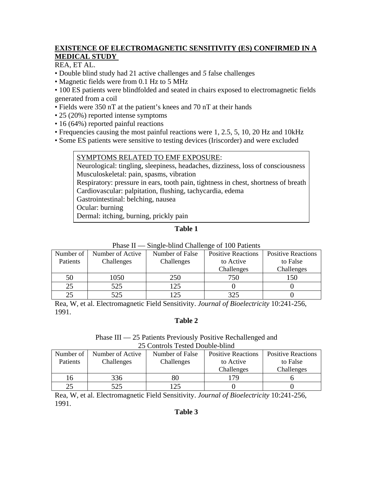# **EXISTENCE OF ELECTROMAGNETIC SENSITIVITY (ES) CONFIRMED IN A MEDICAL STUDY**

REA, ET AL.

- Double blind study had 21 active challenges and *5* false challenges
- Magnetic fields were from 0.1 Hz to 5 MHz

• 100 ES patients were blindfolded and seated in chairs exposed to electromagnetic fields generated from a coil

- Fields were 350 nT at the patient's knees and 70 nT at their hands
- 25 (20%) reported intense symptoms
- 16 (64%) reported painful reactions
- Frequencies causing the most painful reactions were 1, 2.5, 5, 10, 20 Hz and 10kHz
- Some ES patients were sensitive to testing devices (Iriscorder) and were excluded

# SYMPTOMS RELATED TO EMF EXPOSURE:

Neurological: tingling, sleepiness, headaches, dizziness, loss of consciousness Musculoskeletal: pain, spasms, vibration

Respiratory: pressure in ears, tooth pain, tightness in chest, shortness of breath

Cardiovascular: palpitation, flushing, tachycardia, edema

Gastrointestinal: belching, nausea

Ocular: burning

Dermal: itching, burning, prickly pain

# **Table 1**

| 1 1100 T<br>$\mu$ of $\mu$ of $\mu$ of $\mu$ of $\mu$ of $\mu$ of $\mu$ of $\mu$ of $\mu$ of $\mu$ |                  |                 |                           |                           |  |
|----------------------------------------------------------------------------------------------------|------------------|-----------------|---------------------------|---------------------------|--|
| Number of                                                                                          | Number of Active | Number of False | <b>Positive Reactions</b> | <b>Positive Reactions</b> |  |
| Patients                                                                                           | Challenges       | Challenges      | to Active                 | to False                  |  |
|                                                                                                    |                  |                 | Challenges                | Challenges                |  |
| 50                                                                                                 | 1050             | 250             | 750                       | 150                       |  |
| 25                                                                                                 | 525              | 125             |                           |                           |  |
| 25                                                                                                 | 525              | 125             | 325                       |                           |  |

## Phase II — Single-blind Challenge of 100 Patients

Rea, W, et al. Electromagnetic Field Sensitivity. *Journal of Bioelectricity* 10:241-256, 1991.

## **Table 2**

#### Phase III — 25 Patients Previously Positive Rechallenged and 25 Controls Tested Double-blind

| $\sim$ control is colored to out to change |                  |                 |                           |                           |  |  |
|--------------------------------------------|------------------|-----------------|---------------------------|---------------------------|--|--|
| Number of                                  | Number of Active | Number of False | <b>Positive Reactions</b> | <b>Positive Reactions</b> |  |  |
| Patients                                   | Challenges       | Challenges      | to Active                 | to False                  |  |  |
|                                            |                  |                 | Challenges                | Challenges                |  |  |
| 16                                         | 336              | 80              | -79                       |                           |  |  |
| 25                                         | 525              | າ<              |                           |                           |  |  |

Rea, W, et al. Electromagnetic Field Sensitivity. *Journal of Bioelectricity* 10:241-256, 1991.

# **Table 3**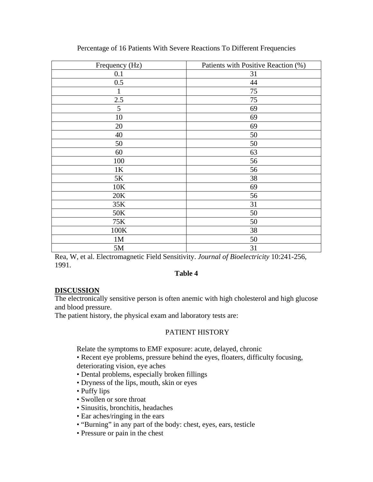| Frequency (Hz) | Patients with Positive Reaction (%) |  |
|----------------|-------------------------------------|--|
| 0.1            | 31                                  |  |
| 0.5            | 44                                  |  |
| 1              | 75                                  |  |
| 2.5            | 75                                  |  |
| 5              | 69                                  |  |
| 10             | 69                                  |  |
| 20             | 69                                  |  |
| 40             | 50                                  |  |
| 50             | 50                                  |  |
| 60             | 63                                  |  |
| 100            | 56                                  |  |
| 1K             | 56                                  |  |
| 5K             | 38                                  |  |
| 10K            | 69                                  |  |
| 20K            | 56                                  |  |
| 35K            | 31                                  |  |
| 50K            | 50                                  |  |
| 75K            | 50                                  |  |
| 100K           | 38                                  |  |
| 1M             | 50                                  |  |
| 5M             | 31                                  |  |

#### Percentage of 16 Patients With Severe Reactions To Different Frequencies

Rea, W, et al. Electromagnetic Field Sensitivity. *Journal of Bioelectricity* 10:241-256, 1991.

#### **Table 4**

### **DISCUSSION**

The electronically sensitive person is often anemic with high cholesterol and high glucose and blood pressure.

The patient history, the physical exam and laboratory tests are:

#### PATIENT HISTORY

Relate the symptoms to EMF exposure: acute, delayed, chronic

• Recent eye problems, pressure behind the eyes, floaters, difficulty focusing, deteriorating vision, eye aches

- Dental problems, especially broken fillings
- Dryness of the lips, mouth, skin or eyes
- Puffy lips
- Swollen or sore throat
- Sinusitis, bronchitis, headaches
- Ear aches/ringing in the ears
- "Burning" in any part of the body: chest, eyes, ears, testicle
- Pressure or pain in the chest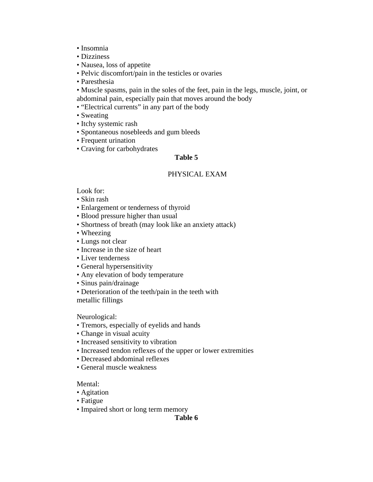- Insomnia
- Dizziness
- Nausea, loss of appetite
- Pelvic discomfort/pain in the testicles or ovaries
- Paresthesia
- Muscle spasms, pain in the soles of the feet, pain in the legs, muscle, joint, or abdominal pain, especially pain that moves around the body
- "Electrical currents" in any part of the body
- Sweating
- Itchy systemic rash
- Spontaneous nosebleeds and gum bleeds
- Frequent urination
- Craving for carbohydrates

### **Table 5**

#### PHYSICAL EXAM

Look for:

- Skin rash
- Enlargement or tenderness of thyroid
- Blood pressure higher than usual
- Shortness of breath (may look like an anxiety attack)
- Wheezing
- Lungs not clear
- Increase in the size of heart
- Liver tenderness
- General hypersensitivity
- Any elevation of body temperature
- Sinus pain/drainage
- Deterioration of the teeth/pain in the teeth with metallic fillings

Neurological:

- Tremors, especially of eyelids and hands
- Change in visual acuity
- Increased sensitivity to vibration
- Increased tendon reflexes of the upper or lower extremities
- Decreased abdominal reflexes
- General muscle weakness

#### Mental:

- Agitation
- Fatigue
- Impaired short or long term memory

**Table 6**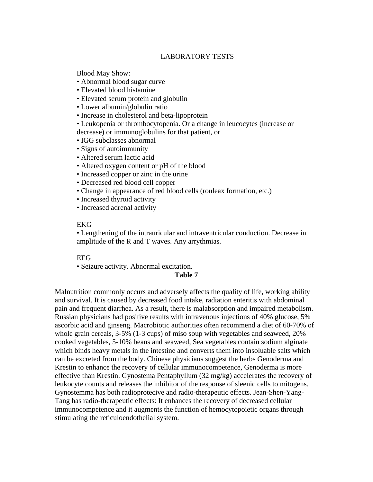#### LABORATORY TESTS

Blood May Show:

- Abnormal blood sugar curve
- Elevated blood histamine
- Elevated serum protein and globulin
- Lower albumin/globulin ratio
- Increase in cholesterol and beta-lipoprotein
- Leukopenia or thrombocytopenia. Or a change in leucocytes (increase or decrease) or immunoglobulins for that patient, or
- IGG subclasses abnormal
- Signs of autoimmunity
- Altered serum lactic acid
- Altered oxygen content or pH of the blood
- Increased copper or zinc in the urine
- Decreased red blood cell copper
- Change in appearance of red blood cells (rouleax formation, etc.)
- Increased thyroid activity
- Increased adrenal activity

### **EKG**

• Lengthening of the intrauricular and intraventricular conduction. Decrease in amplitude of the R and T waves. Any arrythmias.

#### EEG

• Seizure activity. Abnormal excitation.

### **Table 7**

Malnutrition commonly occurs and adversely affects the quality of life, working ability and survival. It is caused by decreased food intake, radiation enteritis with abdominal pain and frequent diarrhea. As a result, there is malabsorption and impaired metabolism. Russian physicians had positive results with intravenous injections of 40% glucose, 5% ascorbic acid and ginseng. Macrobiotic authorities often recommend a diet of 60-70% of whole grain cereals, 3-5% (1-3 cups) of miso soup with vegetables and seaweed, 20% cooked vegetables, 5-10% beans and seaweed, Sea vegetables contain sodium alginate which binds heavy metals in the intestine and converts them into insoluable salts which can be excreted from the body. Chinese physicians suggest the herbs Genoderma and Krestin to enhance the recovery of cellular immunocompetence, Genoderma is more effective than Krestin. Gynostema Pentaphyllum (32 mg/kg) accelerates the recovery of leukocyte counts and releases the inhibitor of the response of sleenic cells to mitogens. Gynostemma has both radioprotecive and radio-therapeutic effects. Jean-Shen-Yang-Tang has radio-therapeutic effects: It enhances the recovery of decreased cellular immunocompetence and it augments the function of hemocytopoietic organs through stimulating the reticuloendothelial system.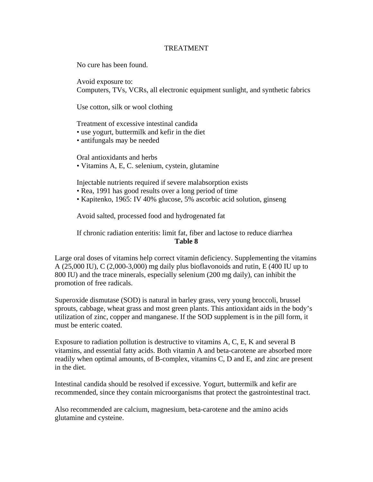#### TREATMENT

No cure has been found.

Avoid exposure to: Computers, TVs, VCRs, all electronic equipment sunlight, and synthetic fabrics

Use cotton, silk or wool clothing

Treatment of excessive intestinal candida

• use yogurt, buttermilk and kefir in the diet

• antifungals may be needed

Oral antioxidants and herbs • Vitamins A, E, C. selenium, cystein, glutamine

Injectable nutrients required if severe malabsorption exists

• Rea, 1991 has good results over a long period of time

• Kapitenko, 1965: IV 40% glucose, 5% ascorbic acid solution, ginseng

Avoid salted, processed food and hydrogenated fat

If chronic radiation enteritis: limit fat, fiber and lactose to reduce diarrhea **Table 8**

Large oral doses of vitamins help correct vitamin deficiency. Supplementing the vitamins A (25,000 IU), C (2,000-3,000) mg daily plus bioflavonoids and rutin, E (400 IU up to 800 IU) and the trace minerals, especially selenium (200 mg daily), can inhibit the promotion of free radicals.

Superoxide dismutase (SOD) is natural in barley grass, very young broccoli, brussel sprouts, cabbage, wheat grass and most green plants. This antioxidant aids in the body's utilization of zinc, copper and manganese. If the SOD supplement is in the pill form, it must be enteric coated.

Exposure to radiation pollution is destructive to vitamins A, C, E, K and several B vitamins, and essential fatty acids. Both vitamin A and beta-carotene are absorbed more readily when optimal amounts, of B-complex, vitamins C, D and E, and zinc are present in the diet.

Intestinal candida should be resolved if excessive. Yogurt, buttermilk and kefir are recommended, since they contain microorganisms that protect the gastrointestinal tract.

Also recommended are calcium, magnesium, beta-carotene and the amino acids glutamine and cysteine.